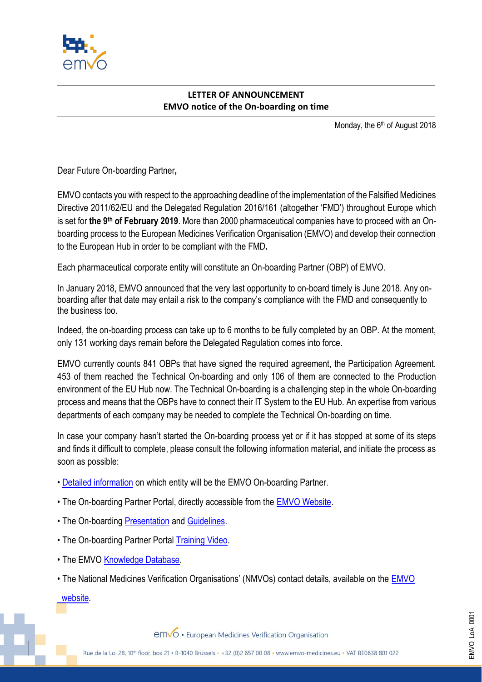

## **LETTER OF ANNOUNCEMENT EMVO notice of the On-boarding on time**

Monday, the 6<sup>th</sup> of August 2018

Dear Future On-boarding Partner**,**

EMVO contacts you with respect to the approaching deadline of the implementation of the Falsified Medicines Directive 2011/62/EU and the Delegated Regulation 2016/161 (altogether 'FMD') throughout Europe which is set for **the 9th of February 2019**. More than 2000 pharmaceutical companies have to proceed with an Onboarding process to the European Medicines Verification Organisation (EMVO) and develop their connection to the European Hub in order to be compliant with the FMD**.**

Each pharmaceutical corporate entity will constitute an On-boarding Partner (OBP) of EMVO.

In January 2018, EMVO announced that the very last opportunity to on-board timely is June 2018. Any onboarding after that date may entail a risk to the company's compliance with the FMD and consequently to the business too.

Indeed, the on-boarding process can take up to 6 months to be fully completed by an OBP. At the moment, only 131 working days remain before the Delegated Regulation comes into force.

EMVO currently counts 841 OBPs that have signed the required agreement, the Participation Agreement. 453 of them reached the Technical On-boarding and only 106 of them are connected to the Production environment of the EU Hub now. The Technical On-boarding is a challenging step in the whole On-boarding process and means that the OBPs have to connect their IT System to the EU Hub. An expertise from various departments of each company may be needed to complete the Technical On-boarding on time.

In case your company hasn't started the On-boarding process yet or if it has stopped at some of its steps and finds it difficult to complete, please consult the following information material, and initiate the process as soon as possible:

- [Detailed information](https://emvo-medicines.eu/knowledge-database/#2716) on which entity will be the EMVO On-boarding Partner.
- The On-boarding Partner Portal, directly accessible from the [EMVO Website.](https://emvo-medicines.eu/)

 $\mathbb{R}$  and  $\mathbb{R}$  and  $\mathbb{R}$  and  $\mathbb{R}$  of  $\mathbb{R}$  notice of  $\mathbb{R}$ 

- The On-boarding [Presentation](https://emvo-medicines.eu/wp-content/uploads/2017/08/EMVO_0086_OBP-On-Boarding-Presentation-V6.0.pdf) and [Guidelines.](https://emvo-medicines.eu/wp-content/uploads/2017/08/EMVO_0077_OBP-On-boarding_Guideline_V4.0.pdf)
- The On-boarding Partner Portal [Training Video.](https://www.youtube.com/watch?v=bxPy5lct4F0&feature=youtu.be)
- The EMVO [Knowledge Database.](https://emvo-medicines.eu/knowledge-database/)
- The National Medicines Verification Organisations' (NMVOs) contact details, available on the **EMVO**

 [website.](https://emvo-medicines.eu/)

emvo • European Medicines Verification Organisation